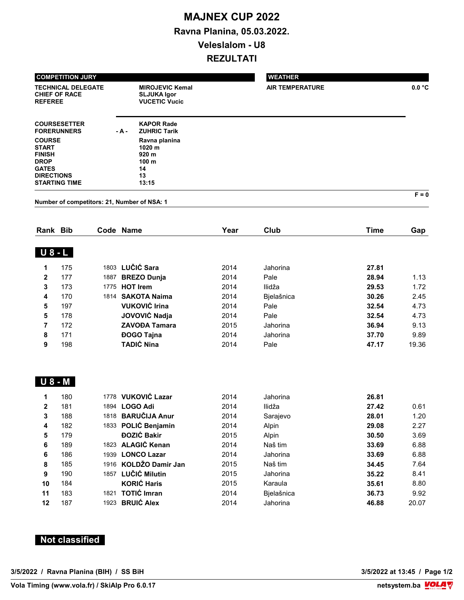## MAJNEX CUP 2022 Ravna Planina, 05.03.2022. Veleslalom - U8 REZULTATI

| <b>COMPETITION JURY</b>                                                                            |        |                                                                                        | <b>WEATHER</b>         |         |  |  |
|----------------------------------------------------------------------------------------------------|--------|----------------------------------------------------------------------------------------|------------------------|---------|--|--|
| <b>TECHNICAL DELEGATE</b><br><b>CHIEF OF RACE</b><br><b>REFEREE</b>                                |        | <b>MIROJEVIC Kemal</b><br><b>SLJUKA Igor</b><br><b>VUCETIC Vucic</b>                   | <b>AIR TEMPERATURE</b> | 0.0 °C  |  |  |
| <b>COURSESETTER</b><br><b>FORERUNNERS</b>                                                          | $-A -$ | <b>KAPOR Rade</b><br><b>ZUHRIC Tarik</b>                                               |                        |         |  |  |
| <b>COURSE</b><br><b>START</b><br><b>FINISH</b><br><b>DROP</b><br><b>GATES</b><br><b>DIRECTIONS</b> |        | Ravna planina<br>1020 <sub>m</sub><br>920 <sub>m</sub><br>100 <sub>m</sub><br>14<br>13 |                        |         |  |  |
| <b>STARTING TIME</b>                                                                               |        | 13:15                                                                                  |                        |         |  |  |
|                                                                                                    |        |                                                                                        |                        | $F = 0$ |  |  |

Number of competitors: 21, Number of NSA: 1

| Rank           | <b>Bib</b> |      | Code Name            | Year | Club       | Time  | Gap   |
|----------------|------------|------|----------------------|------|------------|-------|-------|
| <b>U</b> 8 - L |            |      |                      |      |            |       |       |
| 1              | 175        |      | 1803 LUČIĆ Sara      | 2014 | Jahorina   | 27.81 |       |
| $\mathbf{2}$   | 177        | 1887 | <b>BREZO Dunja</b>   | 2014 | Pale       | 28.94 | 1.13  |
| 3              | 173        | 1775 | <b>HOT Irem</b>      | 2014 | Ilidža     | 29.53 | 1.72  |
| 4              | 170        |      | 1814 SAKOTA Naima    | 2014 | Bielašnica | 30.26 | 2.45  |
| 5              | 197        |      | <b>VUKOVIĆ Irina</b> | 2014 | Pale       | 32.54 | 4.73  |
| 5              | 178        |      | JOVOVIĆ Nadja        | 2014 | Pale       | 32.54 | 4.73  |
| 7              | 172        |      | <b>ZAVOĐA Tamara</b> | 2015 | Jahorina   | 36.94 | 9.13  |
| 8              | 171        |      | <b>ĐOGO Tajna</b>    | 2014 | Jahorina   | 37.70 | 9.89  |
| 9              | 198        |      | <b>TADIĆ Nina</b>    | 2014 | Pale       | 47.17 | 19.36 |

## U 8 - M

| 1              | 180 |      | 1778 VUKOVIĆ Lazar    | 2014 | Jahorina   | 26.81 |       |
|----------------|-----|------|-----------------------|------|------------|-------|-------|
| $\overline{2}$ | 181 | 1894 | <b>LOGO Adi</b>       | 2014 | Ilidža     | 27.42 | 0.61  |
| 3              | 188 | 1818 | <b>BARUČIJA Anur</b>  | 2014 | Sarajevo   | 28.01 | 1.20  |
| 4              | 182 |      | 1833 POLIĆ Benjamin   | 2014 | Alpin      | 29.08 | 2.27  |
| 5              | 179 |      | <b>ĐOZIĆ Bakir</b>    | 2015 | Alpin      | 30.50 | 3.69  |
| 6              | 189 |      | 1823 ALAGIĆ Kenan     | 2014 | Naš tim    | 33.69 | 6.88  |
| 6              | 186 | 1939 | <b>LONCO Lazar</b>    | 2014 | Jahorina   | 33.69 | 6.88  |
| 8              | 185 |      | 1916 KOLDŽO Damir Jan | 2015 | Naš tim    | 34.45 | 7.64  |
| 9              | 190 |      | 1857 LUČIĆ Milutin    | 2015 | Jahorina   | 35.22 | 8.41  |
| 10             | 184 |      | <b>KORIĆ Haris</b>    | 2015 | Karaula    | 35.61 | 8.80  |
| 11             | 183 | 1821 | <b>TOTIĆ Imran</b>    | 2014 | Bjelašnica | 36.73 | 9.92  |
| 12             | 187 | 1923 | <b>BRUIĆ Alex</b>     | 2014 | Jahorina   | 46.88 | 20.07 |

## Not classified